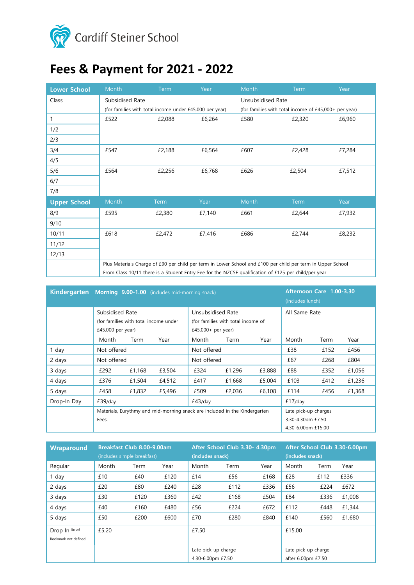

# **Fees & Payment for 2021 - 2022**

| <b>Lower School</b> | Month                                                                                                       | <b>Term</b> | Year   | Month                                                 | <b>Term</b> | Year   |  |
|---------------------|-------------------------------------------------------------------------------------------------------------|-------------|--------|-------------------------------------------------------|-------------|--------|--|
| Class               | Subsidised Rate                                                                                             |             |        | Unsubsidised Rate                                     |             |        |  |
|                     | (for families with total income under £45,000 per year)                                                     |             |        | (for families with total income of £45,000+ per year) |             |        |  |
| 1                   | £522                                                                                                        | £2,088      | £6,264 | £580                                                  | £2,320      | £6,960 |  |
| 1/2                 |                                                                                                             |             |        |                                                       |             |        |  |
| 2/3                 |                                                                                                             |             |        |                                                       |             |        |  |
| 3/4                 | £547                                                                                                        | £2,188      | £6,564 | £607                                                  | £2,428      | £7,284 |  |
| 4/5                 |                                                                                                             |             |        |                                                       |             |        |  |
| 5/6                 | £564                                                                                                        | £2,256      | £6,768 | £626                                                  | £2,504      | £7,512 |  |
| 6/7                 |                                                                                                             |             |        |                                                       |             |        |  |
| 7/8                 |                                                                                                             |             |        |                                                       |             |        |  |
| <b>Upper School</b> | Month                                                                                                       | Term        | Year   | Month                                                 | Term        | Year   |  |
| 8/9                 | £595                                                                                                        | £2,380      | £7,140 | £661                                                  | £2,644      | £7,932 |  |
| 9/10                |                                                                                                             |             |        |                                                       |             |        |  |
| 10/11               | £618                                                                                                        | £2,472      | £7,416 | £686                                                  | £2,744      | £8,232 |  |
| 11/12               |                                                                                                             |             |        |                                                       |             |        |  |
| 12/13               |                                                                                                             |             |        |                                                       |             |        |  |
|                     | Plus Materials Charge of £90 per child per term in Lower School and £100 per child per term in Upper School |             |        |                                                       |             |        |  |
|                     | From Class 10/11 there is a Student Entry Fee for the NZCSE qualification of £125 per child/per year        |             |        |                                                       |             |        |  |

| <b>Kindergarten</b> | Morning 9.00-1.00 (includes mid-morning snack)                             |        |        |                                                         |        | Afternoon Care 1.00-3.30<br>(includes lunch) |               |      |        |
|---------------------|----------------------------------------------------------------------------|--------|--------|---------------------------------------------------------|--------|----------------------------------------------|---------------|------|--------|
|                     | Subsidised Rate<br>(for families with total income under                   |        |        | Unsubsidised Rate<br>(for families with total income of |        |                                              | All Same Rate |      |        |
|                     |                                                                            |        |        |                                                         |        |                                              |               |      |        |
|                     | $£45,000$ per year)                                                        |        |        | £45,000+ per year)                                      |        |                                              |               |      |        |
|                     | Month                                                                      | Term   | Year   | Month                                                   | Term   | Year                                         | Month         | Term | Year   |
| 1 day               | Not offered                                                                |        |        | Not offered                                             |        |                                              | £38           | £152 | £456   |
| 2 days              | Not offered                                                                |        |        | Not offered                                             |        |                                              | £67           | £268 | £804   |
| 3 days              | £292                                                                       | £1,168 | £3,504 | £324                                                    | £1,296 | £3,888                                       | £88           | £352 | £1,056 |
| 4 days              | £376                                                                       | £1,504 | £4,512 | £417                                                    | £1,668 | £5,004                                       | £103          | £412 | £1,236 |
| 5 days              | £458                                                                       | £1,832 | £5,496 | £509                                                    | £2,036 | £6,108                                       | £114          | £456 | £1,368 |
| Drop-In Day         | £39/day                                                                    |        |        | $£43$ /day                                              |        |                                              | $£17$ /day    |      |        |
|                     | Materials, Eurythmy and mid-morning snack are included in the Kindergarten |        |        |                                                         |        | Late pick-up charges                         |               |      |        |
|                     | Fees.                                                                      |        |        |                                                         |        | 3.30-4.30pm £7.50                            |               |      |        |
|                     |                                                                            |        |        |                                                         |        | 4.30-6.00pm £15.00                           |               |      |        |

| Wraparound                              | Breakfast Club 8.00-9.00am<br>(includes simple breakfast) |      |      | After School Club 3.30- 4.30pm<br>(includes snack) |      |      | After School Club 3.30-6.00pm<br>(includes snack) |      |        |
|-----------------------------------------|-----------------------------------------------------------|------|------|----------------------------------------------------|------|------|---------------------------------------------------|------|--------|
| Regular                                 | Month                                                     | Term | Year | Month                                              | Term | Year | Month                                             | Term | Year   |
| 1 day                                   | £10                                                       | £40  | £120 | £14                                                | £56  | £168 | £28                                               | £112 | £336   |
| 2 days                                  | £20                                                       | £80  | £240 | £28                                                | £112 | £336 | £56                                               | £224 | £672   |
| 3 days                                  | £30                                                       | £120 | £360 | £42                                                | £168 | £504 | £84                                               | £336 | £1,008 |
| 4 days                                  | £40                                                       | £160 | £480 | £56                                                | £224 | £672 | £112                                              | £448 | £1,344 |
| 5 days                                  | £50                                                       | £200 | £600 | £70                                                | £280 | £840 | £140                                              | £560 | £1,680 |
| Drop In Error!<br>Bookmark not defined. | £5.20                                                     |      |      | £7.50                                              |      |      | £15.00                                            |      |        |
|                                         |                                                           |      |      | Late pick-up charge                                |      |      | Late pick-up charge                               |      |        |
|                                         |                                                           |      |      | 4.30-6.00pm £7.50                                  |      |      | after 6.00pm £7.50                                |      |        |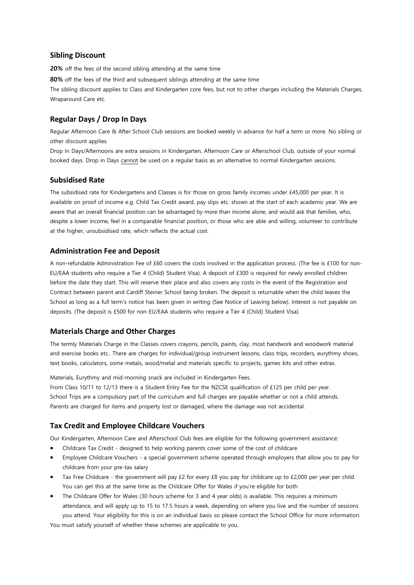# **Sibling Discount**

**20%** off the fees of the second sibling attending at the same time

**80%** off the fees of the third and subsequent siblings attending at the same time

The sibling discount applies to Class and Kindergarten core fees, but not to other charges including the Materials Charges, Wraparound Care etc.

# **Regular Days / Drop In Days**

Regular Afternoon Care & After School Club sessions are booked weekly in advance for half a term or more. No sibling or other discount applies.

Drop In Days/Afternoons are extra sessions in Kindergarten, Afternoon Care or Afterschool Club, outside of your normal booked days. Drop in Days cannot be used on a regular basis as an alternative to normal Kindergarten sessions.

# **Subsidised Rate**

The subsidised rate for Kindergartens and Classes is for those on gross family incomes under £45,000 per year. It is available on proof of income e.g. Child Tax Credit award, pay slips etc. shown at the start of each academic year. We are aware that an overall financial position can be advantaged by more than income alone, and would ask that families, who, despite a lower income, feel in a comparable financial position, or those who are able and willing, volunteer to contribute at the higher, unsubsidised rate, which reflects the actual cost.

#### **Administration Fee and Deposit**

A non-refundable Administration Fee of £60 covers the costs involved in the application process. (The fee is £100 for non-EU/EAA students who require a Tier 4 (Child) Student Visa). A deposit of £300 is required for newly enrolled children before the date they start. This will reserve their place and also covers any costs in the event of the Registration and Contract between parent and Cardiff Steiner School being broken. The deposit is returnable when the child leaves the School as long as a full term's notice has been given in writing (See Notice of Leaving below). Interest is not payable on deposits. (The deposit is £500 for non-EU/EAA students who require a Tier 4 (Child) Student Visa).

#### **Materials Charge and Other Charges**

The termly Materials Charge in the Classes covers crayons, pencils, paints, clay, most handwork and woodwork material and exercise books etc.. There are charges for individual/group instrument lessons, class trips, recorders, eurythmy shoes, text books, calculators, some metals, wood/metal and materials specific to projects, games kits and other extras.

Materials, Eurythmy and mid-morning snack are included in Kindergarten Fees.

From Class 10/11 to 12/13 there is a Student Entry Fee for the NZCSE qualification of £125 per child per year. School Trips are a compulsory part of the curriculum and full charges are payable whether or not a child attends. Parents are charged for items and property lost or damaged, where the damage was not accidental.

# **Tax Credit and Employee Childcare Vouchers**

Our Kindergarten, Afternoon Care and Afterschool Club fees are eligible for the following government assistance:

- Childcare Tax Credit designed to help working parents cover some of the cost of childcare
- Employee Childcare Vouchers a special government scheme operated through employers that allow you to pay for childcare from your pre-tax salary
- Tax Free Childcare the government will pay £2 for every £8 you pay for childcare up to £2,000 per year per child. You can get this at the same time as the Childcare Offer for Wales if you're eligible for both
- The Childcare Offer for Wales (30 hours scheme for 3 and 4 year olds) is available. This requires a minimum attendance, and will apply up to 15 to 17.5 hours a week, depending on where you live and the number of sessions you attend. Your eligibility for this is on an individual basis so please contact the School Office for more information.

You must satisfy yourself of whether these schemes are applicable to you.